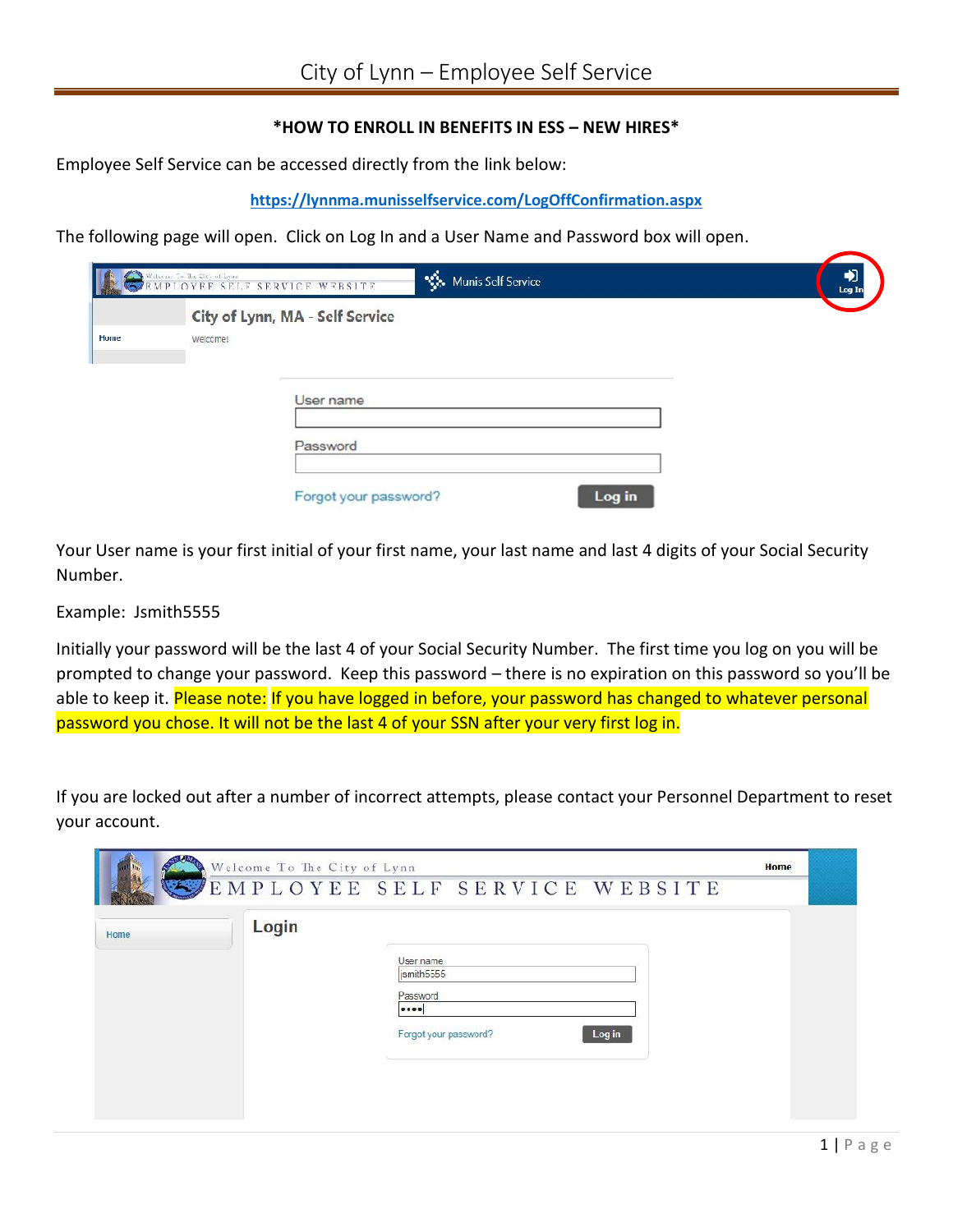# **\*HOW TO ENROLL IN BENEFITS IN ESS – NEW HIRES\***

Employee Self Service can be accessed directly from the link below:

#### **https://lynnma.munisselfservice.com/LogOffConfirmation.aspx**

The following page will open. Click on Log In and a User Name and Password box will open.

|      |          | Munis Self Service<br>Watson To The City of Lyan Berger SERVICE WEBSITE | Log In |
|------|----------|-------------------------------------------------------------------------|--------|
|      |          | City of Lynn, MA - Self Service                                         |        |
| Home | welcome! |                                                                         |        |
|      |          | User name                                                               |        |
|      |          | Password                                                                |        |
|      |          | Log in<br>Forgot your password?                                         |        |

Your User name is your first initial of your first name, your last name and last 4 digits of your Social Security Number.

Example: Jsmith5555

Initially your password will be the last 4 of your Social Security Number. The first time you log on you will be prompted to change your password. Keep this password – there is no expiration on this password so you'll be able to keep it. Please note: If you have logged in before, your password has changed to whatever personal password you chose. It will not be the last 4 of your SSN after your very first log in.

If you are locked out after a number of incorrect attempts, please contact your Personnel Department to reset your account.

| Login<br>User name<br>ismith5555<br>Password<br><br>Log in<br>Forgot your password? | Welcome To The City of Lynn<br>$\mathscr{F}$<br>$\left(\frac{1}{2} - \frac{1}{2}\right)$ | EMPLOYEE SELF SERVICE WEBSITE | Home |  |
|-------------------------------------------------------------------------------------|------------------------------------------------------------------------------------------|-------------------------------|------|--|
|                                                                                     | Home                                                                                     |                               |      |  |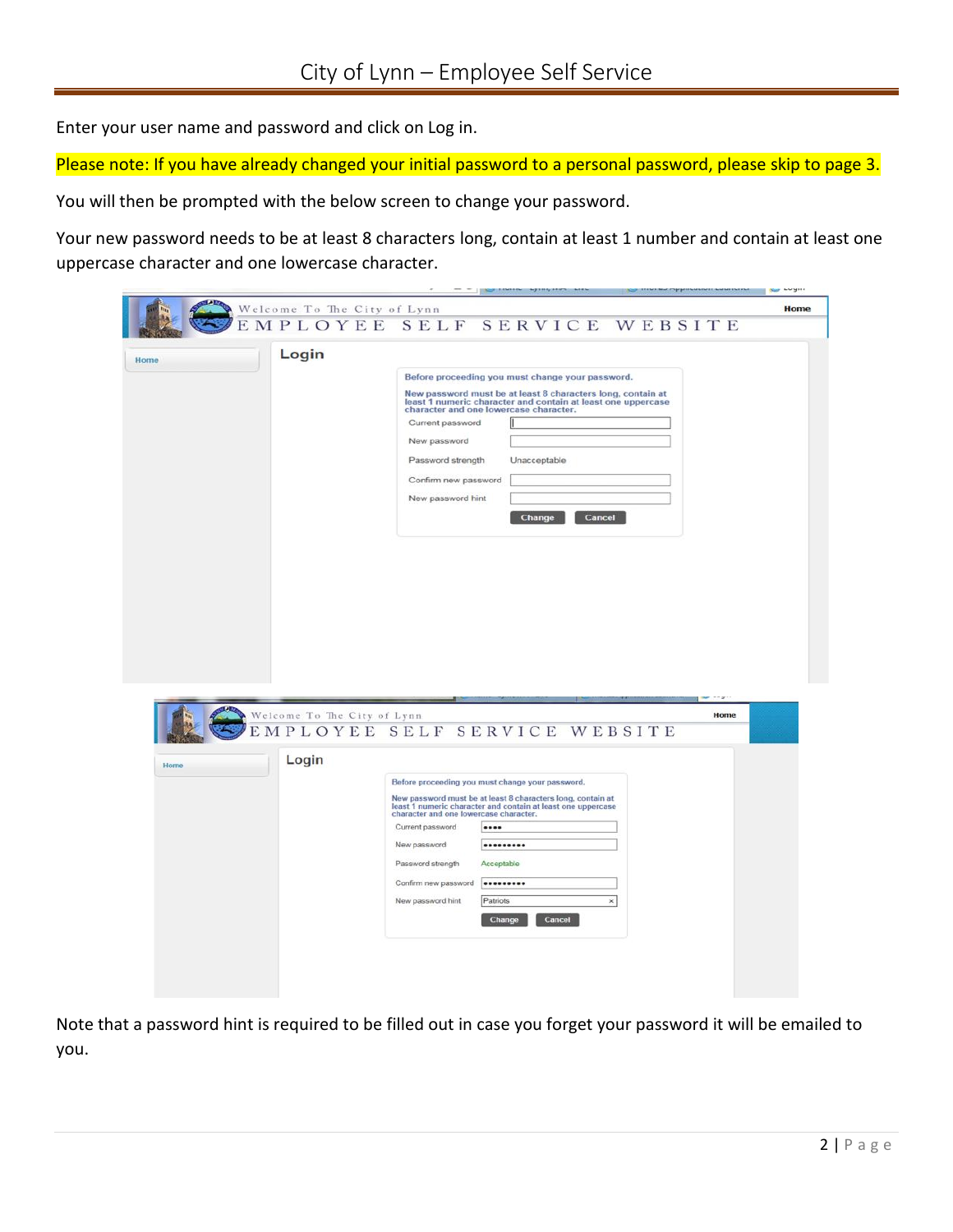Enter your user name and password and click on Log in.

Please note: If you have already changed your initial password to a personal password, please skip to page 3.

You will then be prompted with the below screen to change your password.

Your new password needs to be at least 8 characters long, contain at least 1 number and contain at least one uppercase character and one lowercase character.

|      |                              |                                                                                                                                                                       |            |              |        |        |        |                       |  |      | uwyni |
|------|------------------------------|-----------------------------------------------------------------------------------------------------------------------------------------------------------------------|------------|--------------|--------|--------|--------|-----------------------|--|------|-------|
|      | Welcome To The City of Lynn  |                                                                                                                                                                       |            |              |        |        |        |                       |  |      | Home  |
|      | MPLOYEE SELF SERVICE WEBSITE |                                                                                                                                                                       |            |              |        |        |        |                       |  |      |       |
|      | Login                        |                                                                                                                                                                       |            |              |        |        |        |                       |  |      |       |
| Home |                              | Before proceeding you must change your password.                                                                                                                      |            |              |        |        |        |                       |  |      |       |
|      |                              | New password must be at least 8 characters long, contain at                                                                                                           |            |              |        |        |        |                       |  |      |       |
|      |                              | least 1 numeric character and contain at least one uppercase<br>character and one lowercase character.                                                                |            |              |        |        |        |                       |  |      |       |
|      |                              | Current password                                                                                                                                                      |            |              |        |        |        |                       |  |      |       |
|      |                              | New password                                                                                                                                                          |            |              |        |        |        |                       |  |      |       |
|      |                              | Password strength                                                                                                                                                     |            | Unacceptable |        |        |        |                       |  |      |       |
|      |                              | Confirm new password                                                                                                                                                  |            |              |        |        |        |                       |  |      |       |
|      |                              | New password hint                                                                                                                                                     |            |              |        |        |        |                       |  |      |       |
|      |                              |                                                                                                                                                                       |            |              | Change |        | Cancel |                       |  |      |       |
|      |                              |                                                                                                                                                                       |            |              |        |        |        |                       |  |      |       |
|      |                              |                                                                                                                                                                       |            |              |        |        |        |                       |  |      |       |
|      |                              |                                                                                                                                                                       |            |              |        |        |        |                       |  |      |       |
|      |                              |                                                                                                                                                                       |            |              |        |        |        |                       |  |      |       |
|      |                              |                                                                                                                                                                       |            |              |        |        |        |                       |  |      |       |
|      |                              |                                                                                                                                                                       |            |              |        |        |        |                       |  |      |       |
|      |                              |                                                                                                                                                                       |            |              |        |        |        |                       |  |      |       |
|      |                              |                                                                                                                                                                       |            |              |        |        |        |                       |  |      |       |
|      |                              |                                                                                                                                                                       |            |              |        |        |        |                       |  |      |       |
|      | Welcome To The City of Lynn  |                                                                                                                                                                       |            |              |        |        |        |                       |  | Home |       |
|      | PLOYEE SELF SERVICE WEBSITE  |                                                                                                                                                                       |            |              |        |        |        |                       |  |      |       |
|      |                              |                                                                                                                                                                       |            |              |        |        |        |                       |  |      |       |
| Home | Login                        |                                                                                                                                                                       |            |              |        |        |        |                       |  |      |       |
|      |                              | Before proceeding you must change your password.                                                                                                                      |            |              |        |        |        |                       |  |      |       |
|      |                              | New password must be at least 8 characters long, contain at<br>least 1 numeric character and contain at least one uppercase<br>character and one lowercase character. |            |              |        |        |        |                       |  |      |       |
|      |                              | Current password                                                                                                                                                      |            |              |        |        |        |                       |  |      |       |
|      |                              | New password                                                                                                                                                          |            |              |        |        |        |                       |  |      |       |
|      |                              | Password strength                                                                                                                                                     | Acceptable |              |        |        |        |                       |  |      |       |
|      |                              | Confirm new password                                                                                                                                                  |            |              |        |        |        |                       |  |      |       |
|      |                              | New password hint                                                                                                                                                     | Patriots   |              |        |        |        | $\boldsymbol{\times}$ |  |      |       |
|      |                              |                                                                                                                                                                       | Change     |              |        | Cancel |        |                       |  |      |       |
|      |                              |                                                                                                                                                                       |            |              |        |        |        |                       |  |      |       |
|      |                              |                                                                                                                                                                       |            |              |        |        |        |                       |  |      |       |
|      |                              |                                                                                                                                                                       |            |              |        |        |        |                       |  |      |       |
|      |                              |                                                                                                                                                                       |            |              |        |        |        |                       |  |      |       |
|      |                              |                                                                                                                                                                       |            |              |        |        |        |                       |  |      |       |

Note that a password hint is required to be filled out in case you forget your password it will be emailed to you.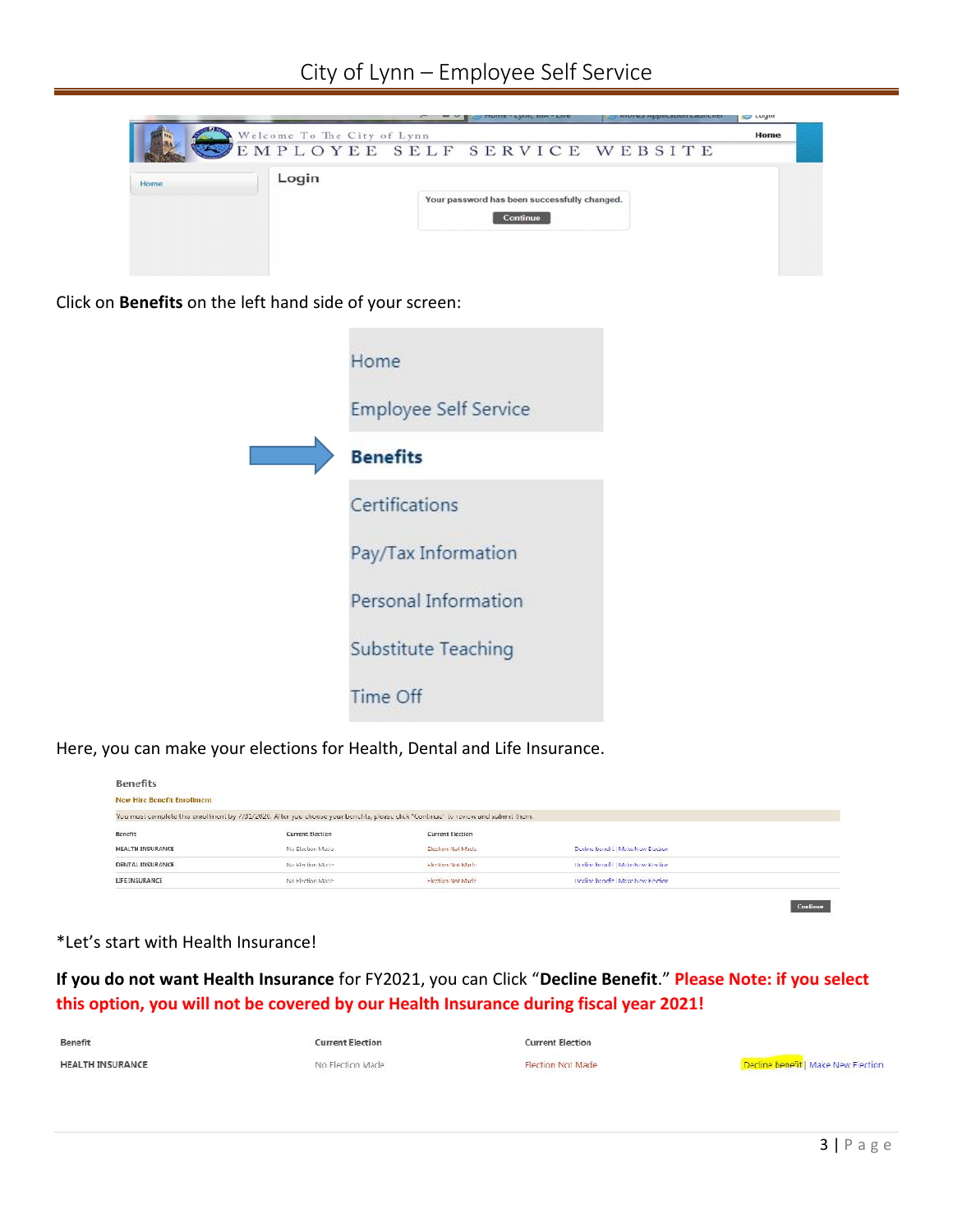

Click on **Benefits** on the left hand side of your screen:

| Home                         |
|------------------------------|
| <b>Employee Self Service</b> |
| <b>Benefits</b>              |
| Certifications               |
| Pay/Tax Information          |
| Personal Information         |
| Substitute Teaching          |
| Time Off                     |

Here, you can make your elections for Health, Dental and Life Insurance.

| <b>Benefits</b>                    |                                                                                                                                   |                         |                                     |  |
|------------------------------------|-----------------------------------------------------------------------------------------------------------------------------------|-------------------------|-------------------------------------|--|
| <b>New Hire Benefit Enrollment</b> |                                                                                                                                   |                         |                                     |  |
|                                    | You must complete this enrollment by 7/31/2020. After you choose your benchts, please click "Continue" to review and submit them. |                         |                                     |  |
| Benefit                            | Current Election                                                                                                                  | <b>Current Election</b> |                                     |  |
| <b>HEALTH INSURANCE</b>            | No Electron Made                                                                                                                  | Election Not Made       | Decline benefit   Make New Electron |  |
| DENTAL INSURANCE                   | No Flection Made                                                                                                                  | Herritorn Not Marks     | Decline benefit   Make New Election |  |
| LIFE INSURANCE                     | No Fiection Made                                                                                                                  | Election Not Made       | Decline benefit   Make New Flection |  |
|                                    |                                                                                                                                   |                         |                                     |  |

Continue

### \*Let's start with Health Insurance!

**If you do not want Health Insurance** for FY2021, you can Click "**Decline Benefit**." **Please Note: if you select this option, you will not be covered by our Health Insurance during fiscal year 2021!**

| Benefit                 | <b>Current Election</b> | <b>Current Election</b>  |                                     |
|-------------------------|-------------------------|--------------------------|-------------------------------------|
| <b>HEALTH INSURANCE</b> | No Flection Made        | <b>Flection Not Made</b> | Decline benefit   Make New Fiection |
|                         |                         |                          |                                     |
|                         |                         |                          |                                     |
|                         |                         |                          | $3   P \text{age}$                  |
|                         |                         |                          |                                     |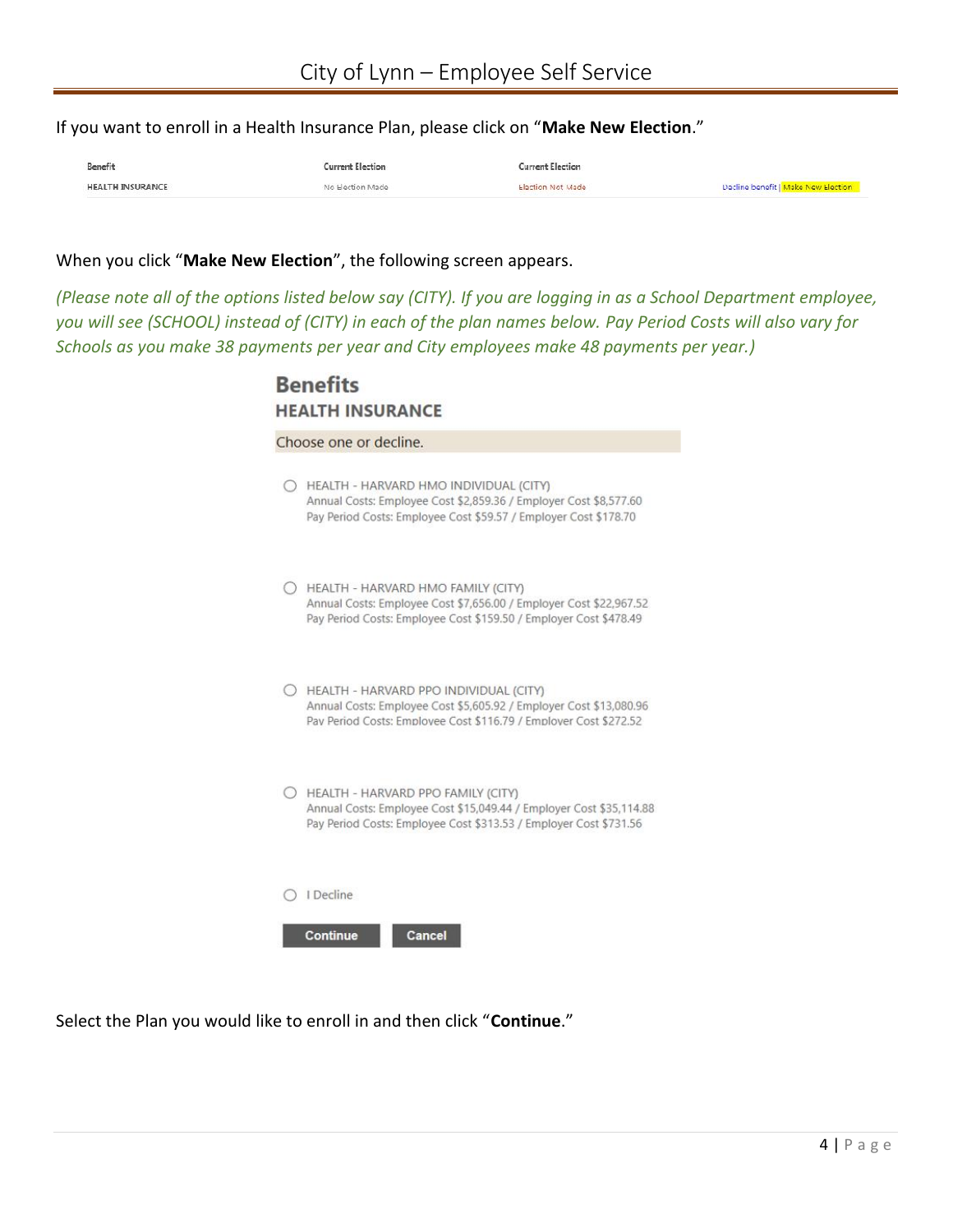If you want to enroll in a Health Insurance Plan, please click on "**Make New Election**."

| Benefit                 |                 |                   |                                     |
|-------------------------|-----------------|-------------------|-------------------------------------|
| <b>HEALTH INSURANCE</b> | No Hection Made | Election Not Made | Decline benefit   Make New Election |

#### When you click "**Make New Election**", the following screen appears.

*(Please note all of the options listed below say (CITY). If you are logging in as a School Department employee, you will see (SCHOOL) instead of (CITY) in each of the plan names below. Pay Period Costs will also vary for Schools as you make 38 payments per year and City employees make 48 payments per year.)*

|            | Choose one or decline.                                                                                                                                                            |
|------------|-----------------------------------------------------------------------------------------------------------------------------------------------------------------------------------|
| $\bigcirc$ | HEALTH - HARVARD HMO INDIVIDUAL (CITY)<br>Annual Costs: Employee Cost \$2,859.36 / Employer Cost \$8,577.60<br>Pay Period Costs: Employee Cost \$59.57 / Employer Cost \$178.70   |
|            | HEALTH - HARVARD HMO FAMILY (CITY)<br>Annual Costs: Employee Cost \$7,656.00 / Employer Cost \$22,967.52<br>Pay Period Costs: Employee Cost \$159.50 / Employer Cost \$478.49     |
|            | HEALTH - HARVARD PPO INDIVIDUAL (CITY)<br>Annual Costs: Employee Cost \$5,605.92 / Employer Cost \$13,080.96<br>Pay Period Costs: Employee Cost \$116.79 / Employer Cost \$272.52 |
|            | HEALTH - HARVARD PPO FAMILY (CITY)<br>Annual Costs: Employee Cost \$15,049.44 / Employer Cost \$35,114.88<br>Pay Period Costs: Employee Cost \$313.53 / Employer Cost \$731.56    |
|            | I Decline                                                                                                                                                                         |

Select the Plan you would like to enroll in and then click "**Continue**."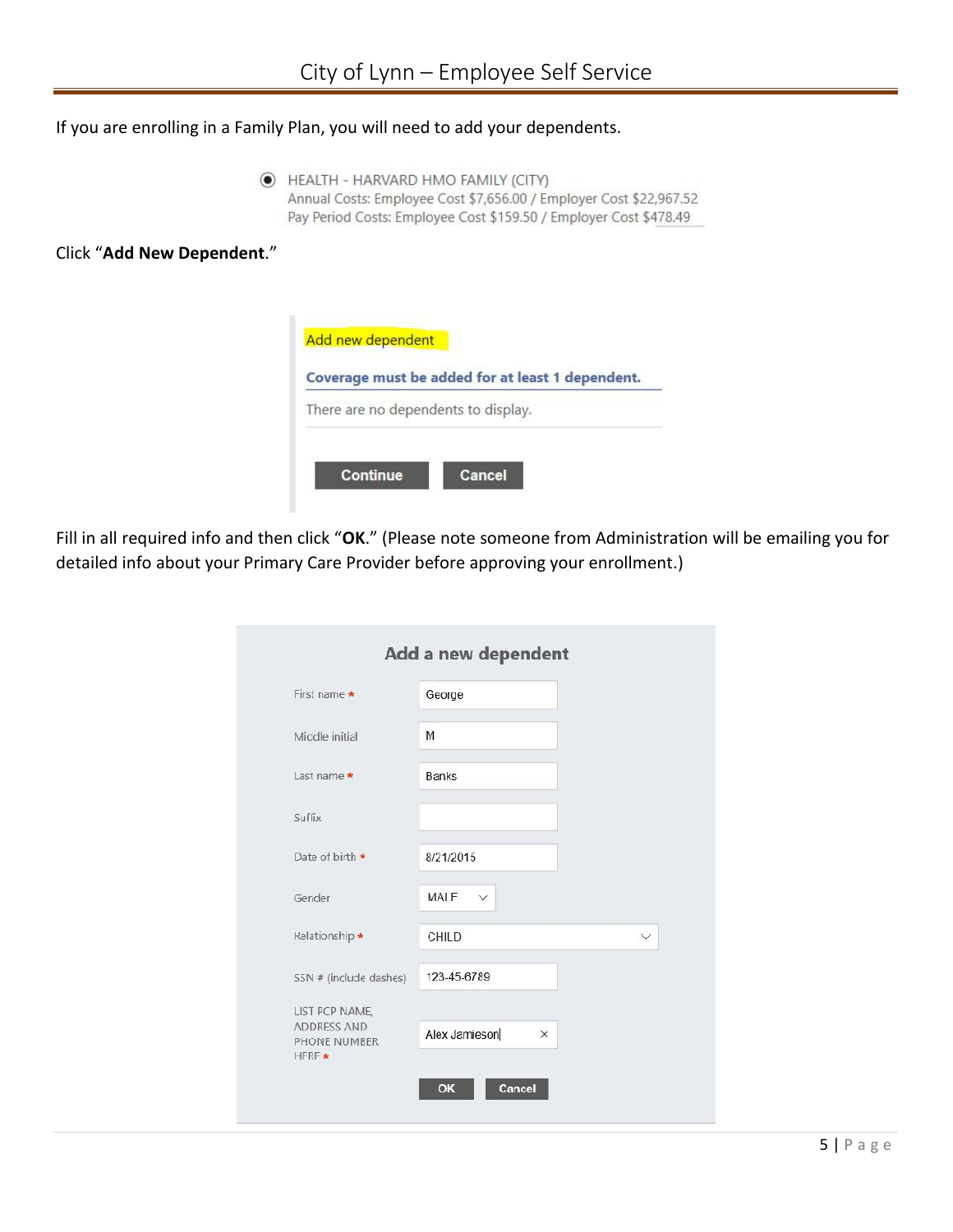If you are enrolling in a Family Plan, you will need to add your dependents.

THEALTH - HARVARD HMO FAMILY (CITY) Annual Costs: Employee Cost \$7,656.00 / Employer Cost \$22,967.52 Pay Period Costs: Employee Cost \$159.50 / Employer Cost \$478.49

Click "**Add New Dependent**."



Fill in all required info and then click "**OK**." (Please note someone from Administration will be emailing you for detailed info about your Primary Care Provider before approving your enrollment.)

| First name *                                   | George                    |              |
|------------------------------------------------|---------------------------|--------------|
| Middle initial                                 | M                         |              |
| Last name *                                    | <b>Banks</b>              |              |
| Suffix                                         |                           |              |
| Date of birth *                                | 8/21/2015                 |              |
| Gender                                         | MAIF $\vee$               |              |
| Kelationship *                                 | <b>CHILD</b>              | $\checkmark$ |
| SSN # (include dashes)                         | 123-45-6789               |              |
| LIST PCP NAME,                                 |                           |              |
| <b>ADDRESS AND</b><br>PHONE NUMBER<br>$HFRF$ * | Alex Jamieson<br>$\times$ |              |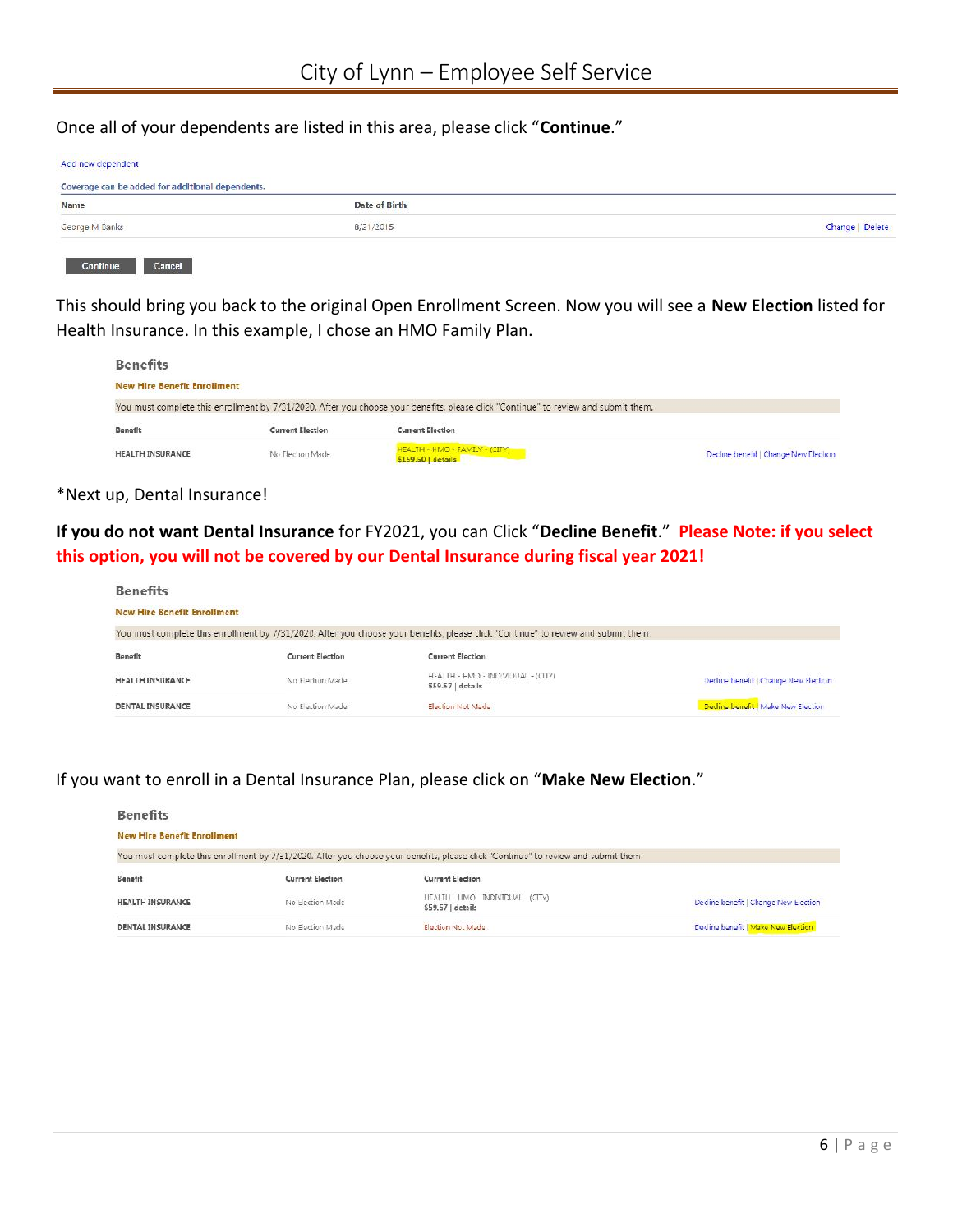Once all of your dependents are listed in this area, please click "**Continue**."

| Coverage can be added for additional dependents. |               |                 |  |  |  |
|--------------------------------------------------|---------------|-----------------|--|--|--|
| Name                                             | Date of Birth |                 |  |  |  |
| George M Banks                                   | 8/21/2015     | Change   Delete |  |  |  |

This should bring you back to the original Open Enrollment Screen. Now you will see a **New Election** listed for Health Insurance. In this example, I chose an HMO Family Plan.

| <b>Benefits</b>                    |                  |                                                                                                                                    |                                       |  |  |  |  |  |
|------------------------------------|------------------|------------------------------------------------------------------------------------------------------------------------------------|---------------------------------------|--|--|--|--|--|
| <b>New Hire Benefit Enrollment</b> |                  |                                                                                                                                    |                                       |  |  |  |  |  |
|                                    |                  | You must complete this enrollment by 7/31/2020. After you choose your benefits, please click "Continue" to review and submit them. |                                       |  |  |  |  |  |
| Benefit                            | Current Election | <b>Current Election</b>                                                                                                            |                                       |  |  |  |  |  |
| <b>HEALTH INSURANCE</b>            | No Election Made | HEALTH - HMO - FAMILY - (CITY)<br>\$159.50   details                                                                               | Decline benefit   Change New Election |  |  |  |  |  |

#### \*Next up, Dental Insurance!

**If you do not want Dental Insurance** for FY2021, you can Click "**Decline Benefit**." **Please Note: if you select this option, you will not be covered by our Dental Insurance during fiscal year 2021!**

| <b>Benefits</b>                    |                  |                                                                                                                                    |                                       |  |  |  |  |  |
|------------------------------------|------------------|------------------------------------------------------------------------------------------------------------------------------------|---------------------------------------|--|--|--|--|--|
| <b>New Hire Benefit Enrollment</b> |                  |                                                                                                                                    |                                       |  |  |  |  |  |
|                                    |                  | You must complete this enrollment by //31/2020. After you choose your benefits, please click "Continue" to review and submit them. |                                       |  |  |  |  |  |
| <b>Benefit</b>                     | Current Flection | <b>Current Election</b>                                                                                                            |                                       |  |  |  |  |  |
| <b>HEALTH INSURANCE</b>            | No Election Made | HEALTH - HMO - INDIVIDUAL - (CITY)<br>559.57   details                                                                             | Decline benefit   Change New Election |  |  |  |  |  |
| DENTAL INSURANCE                   | No Election Made | Election Not Made                                                                                                                  | Decline benefit I Make New Election   |  |  |  |  |  |

# If you want to enroll in a Dental Insurance Plan, please click on "**Make New Election**."

| <b>Benefits</b>                    |                         |                                                                                                                                   |                                       |  |  |
|------------------------------------|-------------------------|-----------------------------------------------------------------------------------------------------------------------------------|---------------------------------------|--|--|
| <b>New Hire Benefit Enrollment</b> |                         |                                                                                                                                   |                                       |  |  |
|                                    |                         | You must complete this enrollment by 7/31/2020. After you choose your benefits, please dick "Continue" to review and submit them. |                                       |  |  |
| Benefit                            | <b>Current Election</b> | Current Election                                                                                                                  |                                       |  |  |
| <b>HEALTH INSURANCE</b>            | No Election Made        | LIFALTI LIMO INDIVIDUAL (CITY)<br>S59.57   details                                                                                | Decline benefit   Change New Election |  |  |
| DENTAL INSURANCE                   | No Election Made        | Election Not Made                                                                                                                 | Decline benefit   Make New Election   |  |  |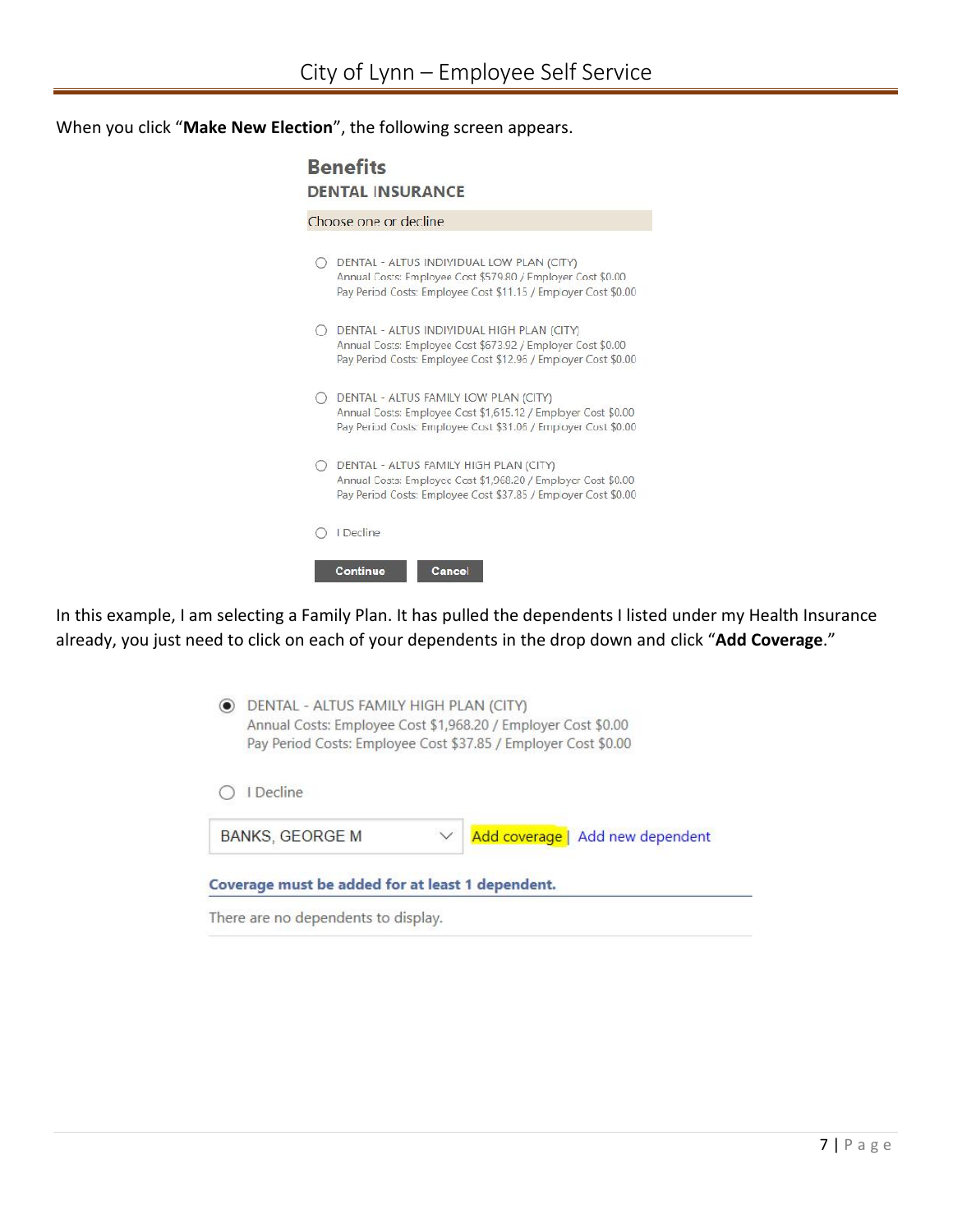When you click "**Make New Election**", the following screen appears.

|    | Choose one or decline                                                                                                                                                       |
|----|-----------------------------------------------------------------------------------------------------------------------------------------------------------------------------|
|    | DENTAL - ALTUS INDIVIDUAL LOW PLAN (CITY)<br>Annual Costs: Employee Cost \$579.80 / Employer Cost \$0.00<br>Pay Period Costs: Employee Cost \$11.15 / Employer Cost \$0.00  |
| () | DENTAL - ALTUS INDIVIDUAL HIGH PLAN (CITY)<br>Annual Costs: Employee Cost \$673.92 / Employer Cost \$0.00<br>Pay Period Costs: Employee Cost \$12.96 / Employer Cost \$0.00 |
|    | DENTAL - ALTUS FAMILY LOW PLAN (CITY)<br>Annual Costs: Employee Cost \$1,615.12 / Employer Cost \$0.00<br>Pay Period Costs: Employee Cost \$31.06 / Employer Cost \$0.00    |
|    | DENTAL - ALTUS FAMILY HIGH PLAN (CITY)<br>Annual Costs: Employee Cost \$1,968.20 / Employer Cost \$0.00<br>Pay Period Costs: Employee Cost \$37.85 / Employer Cost \$0.00   |
|    | I Decline                                                                                                                                                                   |

In this example, I am selecting a Family Plan. It has pulled the dependents I listed under my Health Insurance already, you just need to click on each of your dependents in the drop down and click "**Add Coverage**."

| I Decline                                        |  |                                  |
|--------------------------------------------------|--|----------------------------------|
| <b>BANKS, GEORGE M</b>                           |  | Add coverage   Add new dependent |
| Coverage must be added for at least 1 dependent. |  |                                  |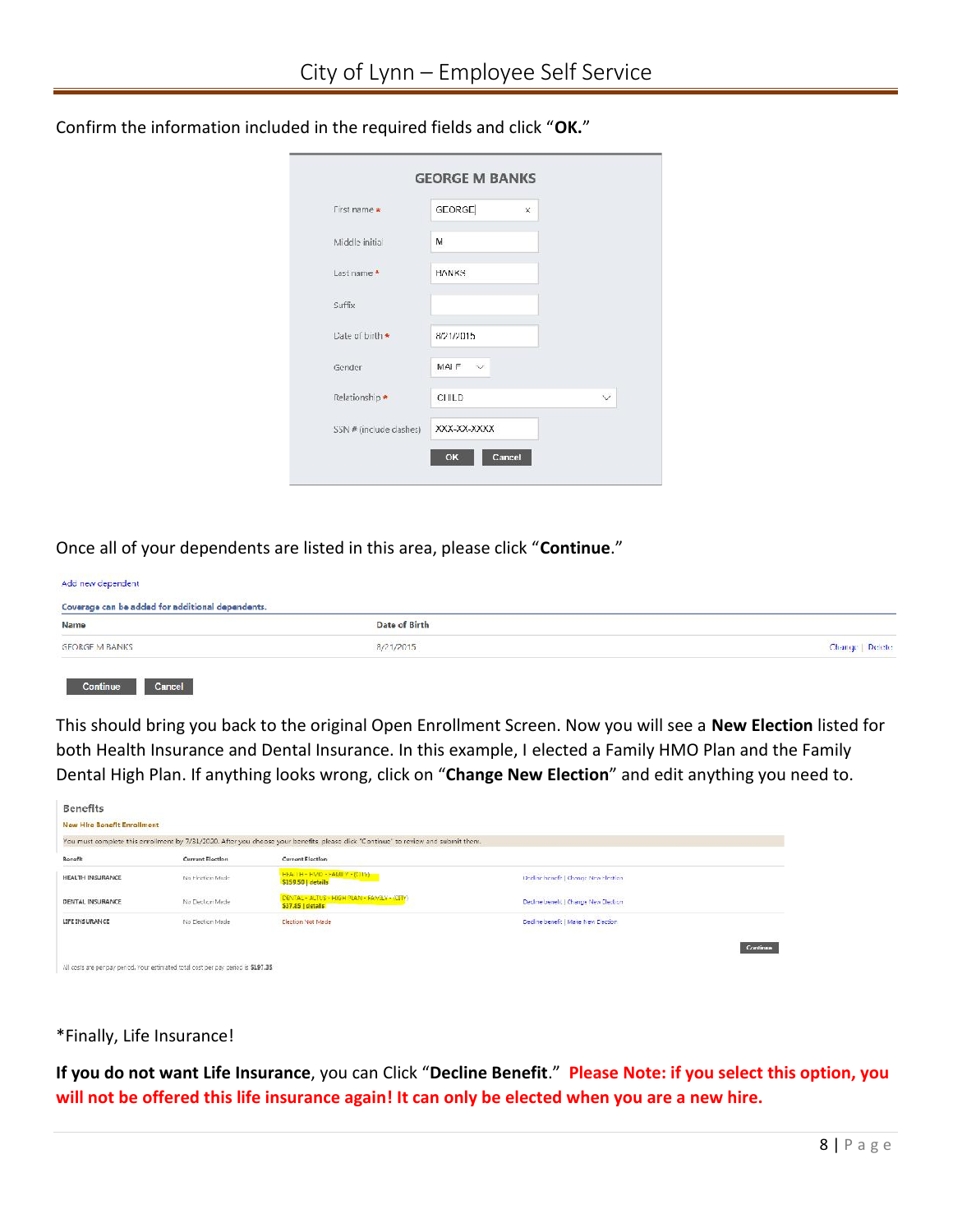| First name *           | <b>GEORGE</b> | $\times$ |   |
|------------------------|---------------|----------|---|
| Middle initial         | M             |          |   |
| Last name *            | <b>HANKS</b>  |          |   |
| Suffix                 |               |          |   |
| Date of birth *        | 8/21/2015     |          |   |
| Gender                 | MAIF V        |          |   |
| Relationship *         | CHILD         |          | V |
| SSN # (include dashes) | XXX-XX-XXXX   |          |   |

Confirm the information included in the required fields and click "**OK.**"

Once all of your dependents are listed in this area, please click "**Continue**."

| Coverage can be added for additional dependents. |               |                 |  |
|--------------------------------------------------|---------------|-----------------|--|
| Name                                             | Date of Birth |                 |  |
| <b>GEORGE M BANKS</b>                            | 8/21/2015     | Change   Delete |  |

This should bring you back to the original Open Enrollment Screen. Now you will see a **New Election** listed for both Health Insurance and Dental Insurance. In this example, I elected a Family HMO Plan and the Family Dental High Plan. If anything looks wrong, click on "**Change New Election**" and edit anything you need to.

|                  |                         | You must complete this enrollment by 7/31/2020. After you choose your benefits, please click "Continue" to review and submit them. |                                                               |  |
|------------------|-------------------------|------------------------------------------------------------------------------------------------------------------------------------|---------------------------------------------------------------|--|
| Benefit          | <b>Current Election</b> | <b>Current Election</b>                                                                                                            |                                                               |  |
| HEALTH INSURANCE | No Flection Made        | FEACHE - HASO - FAMILY - (COLV)<br>\$159.50   details                                                                              | Dedine benefit   Change New Flection                          |  |
| DENTAL INSURANCE | No Election Made        | DENTAL - ALTUS - HIGH PLAN - FAMILY - (CITY)<br>\$37.85   details                                                                  | Decline benefit   Change New Election                         |  |
| LIFE INSURANCE   | No Election Made        | <b>Election Not Made</b>                                                                                                           | Decline benefit   Make New Election<br>and Within Teacher and |  |

# \*Finally, Life Insurance!

tion, you $8 | P \text{age}$ **If you do not want Life Insurance**, you can Click "**Decline Benefit**." **Please Note: if you select this option, you will not be offered this life insurance again! It can only be elected when you are a new hire.**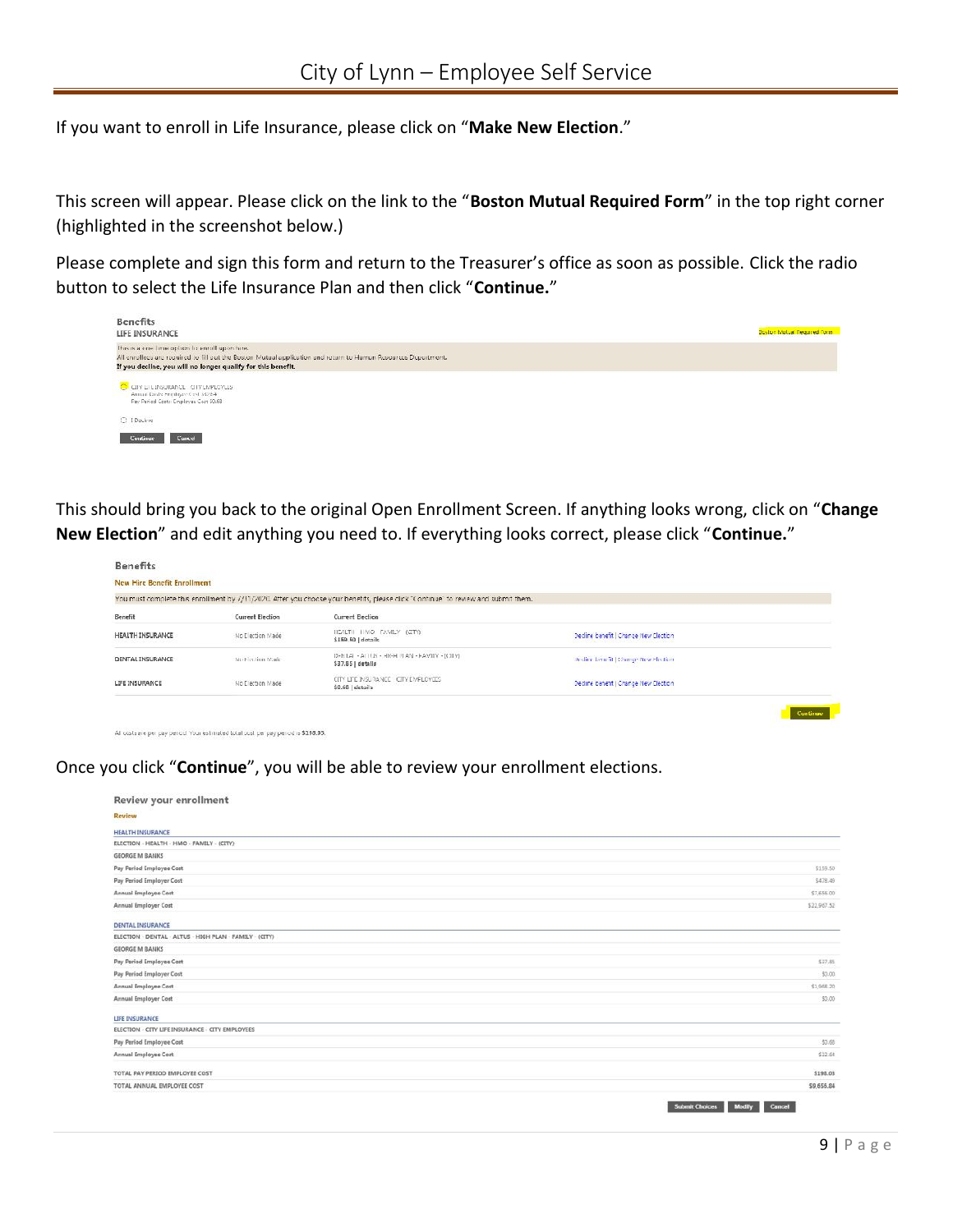If you want to enroll in Life Insurance, please click on "**Make New Election**."

This screen will appear. Please click on the link to the "**Boston Mutual Required Form**" in the top right corner (highlighted in the screenshot below.)

Please complete and sign this form and return to the Treasurer's office as soon as possible. Click the radio button to select the Life Insurance Plan and then click "**Continue.**"



This should bring you back to the original Open Enrollment Screen. If anything looks wrong, click on "**Change New Election**" and edit anything you need to. If everything looks correct, please click "**Continue.**"

| New Hire Benefit Enrollment |                         |                                                                                                                                    |                                        |  |
|-----------------------------|-------------------------|------------------------------------------------------------------------------------------------------------------------------------|----------------------------------------|--|
|                             |                         | You must complete this enrollment by 7/31/2020. Atter you choose your benefits, please click "Continue" to review and submit them. |                                        |  |
| Benefit                     | <b>Current Election</b> | Current Election                                                                                                                   |                                        |  |
| HEALTH INSURANCE            | No Election Made        | HEALTH HAVO FAMILY (CITY)<br>\$159.50   details                                                                                    | Decline benefit   Change New Clection  |  |
| DENTAL INSURANCE            | No Firedian Made        | DENTAL - ALLUS - HIGH PAN - FAMILY - [CITY]<br>\$37.85   details                                                                   | On cline benefit   Change New Flection |  |
| LIFE INSURANCE              | No Election Made        | 2010/08/2010 10:00:00 00:00 10:00:00 00:00:00 00:00:00:00:00:00:00<br>CITY LITE INSURANCE CITY EMPLOYEES<br>\$0.68   details       | Decline benefit   Change New Clection  |  |

All costs are per pay period. Your estimated total cost per pay period is \$198.03.

Once you click "**Continue**", you will be able to review your enrollment elections.

| Review your enrollment                                  |                                 |
|---------------------------------------------------------|---------------------------------|
| <b>Review</b>                                           |                                 |
| <b>HEALTH INSURANCE</b>                                 |                                 |
| ELECTION - HEALTH - HMO - FAMILY - (CITY)               |                                 |
| <b>GEORGE M BANKS</b>                                   |                                 |
| Pay Period Employee Cost                                | \$159.50                        |
| Pay Period Employer Cost                                | \$478.49                        |
| Annual Employee Cost                                    | \$7,656.00                      |
| Annual Employer Cost                                    | \$22,967.52                     |
| <b>DENTAL INSURANCE</b>                                 |                                 |
| ELECTION - DENTAL - ALTUS - HIGH PLAN - FAMILY - (CITY) |                                 |
| <b>GEORGE M BANKS</b>                                   |                                 |
| Pay Period Employee Cost                                | \$37.85                         |
| Pay Period Employer Cost                                | \$0.00                          |
| Annual Employee Cost                                    | \$1,958.20                      |
| Annual Employer Cost                                    | \$0.00                          |
| <b>LIFE INSURANCE</b>                                   |                                 |
| ELECTION - CITY LIFE INSURANCE - CITY EMPLOYEES         |                                 |
| Pay Period Employee Cost                                | 50.68                           |
| Annual Employee Cost                                    | \$32.64                         |
| TOTAL PAY PERIOD EMPLOYEE COST                          | \$198.03                        |
| TOTAL ANNUAL EMPLOYEE COST                              | \$9,656.84                      |
|                                                         | Colomb Chatoon Modific Consul - |